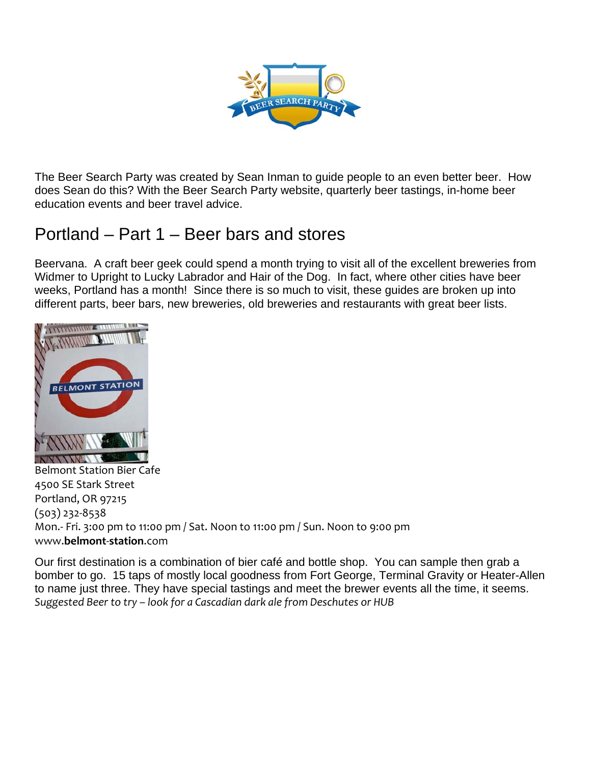

The Beer Search Party was created by Sean Inman to guide people to an even better beer. How does Sean do this? With the Beer Search Party website, quarterly beer tastings, in-home beer education events and beer travel advice.

## Portland – Part 1 – Beer bars and stores

Beervana. A craft beer geek could spend a month trying to visit all of the excellent breweries from Widmer to Upright to Lucky Labrador and Hair of the Dog. In fact, where other cities have beer weeks, Portland has a month! Since there is so much to visit, these guides are broken up into different parts, beer bars, new breweries, old breweries and restaurants with great beer lists.



Belmont Station Bier Cafe 4500 SE Stark Street Portland, OR 97215 (503) 232‐8538 Mon.‐ Fri. 3:00 pm to 11:00 pm / Sat. Noon to 11:00 pm / Sun. Noon to 9:00 pm www.**belmont**‐**station**.com

Our first destination is a combination of bier café and bottle shop. You can sample then grab a bomber to go. 15 taps of mostly local goodness from Fort George, Terminal Gravity or Heater-Allen to name just three. They have special tastings and meet the brewer events all the time, it seems. *Suggested Beer to try – look for a Cascadian dark ale from Deschutes or HUB*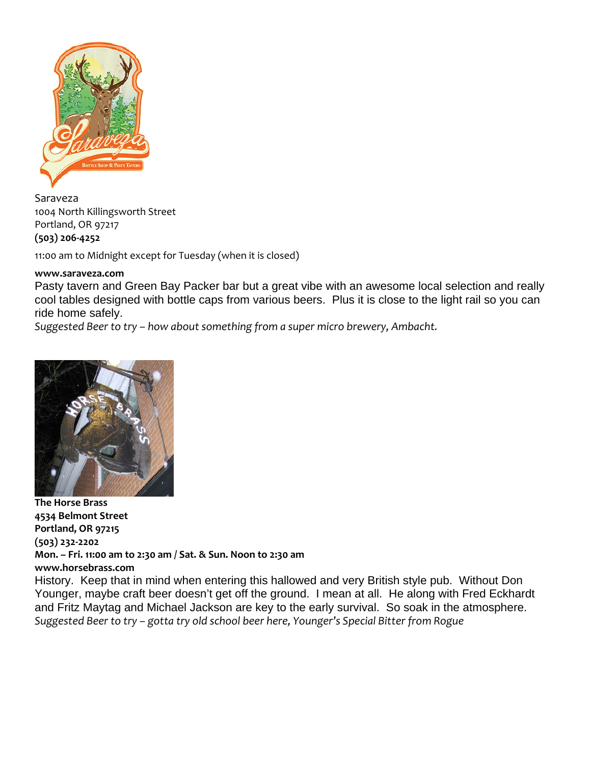

Saraveza 1004 North Killingsworth Street Portland, OR 97217 **(503) 206‐4252**

11:00 am to Midnight except for Tuesday (when it is closed)

## **www.saraveza.com**

Pasty tavern and Green Bay Packer bar but a great vibe with an awesome local selection and really cool tables designed with bottle caps from various beers. Plus it is close to the light rail so you can ride home safely.

*Suggested Beer to try – how about something from a super micro brewery, Ambacht.*



**The Horse Brass 4534 Belmont Street Portland, OR 97215 (503) 232‐2202 Mon. – Fri. 11:00 am to 2:30 am / Sat. & Sun. Noon to 2:30 am www.horsebrass.com** History. Keep that in mind when entering this hallowed and very British style pub. Without Don Younger, maybe craft beer doesn't get off the ground. I mean at all. He along with Fred Eckhardt and Fritz Maytag and Michael Jackson are key to the early survival. So soak in the atmosphere. *Suggested Beer to try – gotta try old school beer here, Younger's Special Bitter from Rogue*